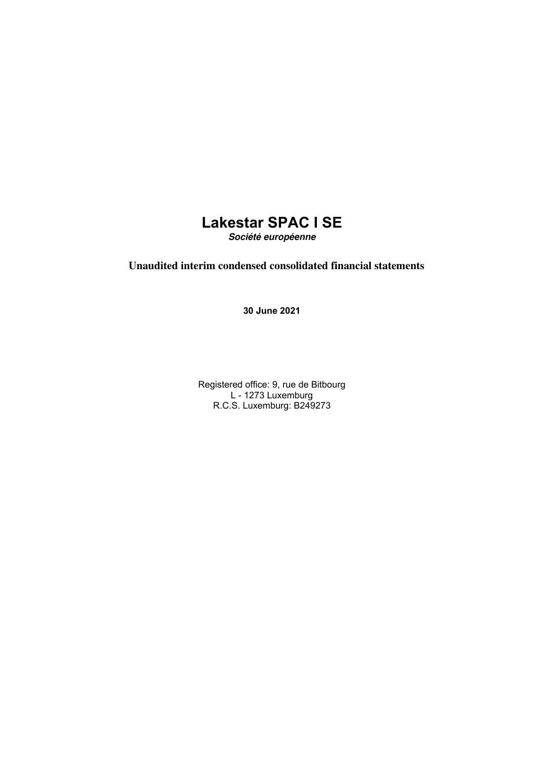## **Lakestar SPAC I SE Société européenne**

## **Unaudited interim condensed consolidated financial statements**

**30 June 2021**

Registered office: 9, rue de Bitbourg L - 1273 Luxemburg R.C.S. Luxemburg: B249273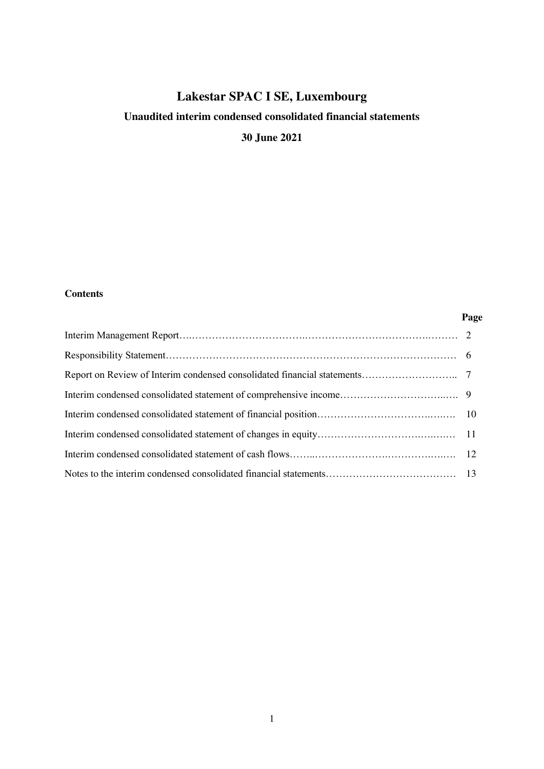## **Unaudited interim condensed consolidated financial statements**

**30 June 2021** 

#### **Contents**

#### **Page**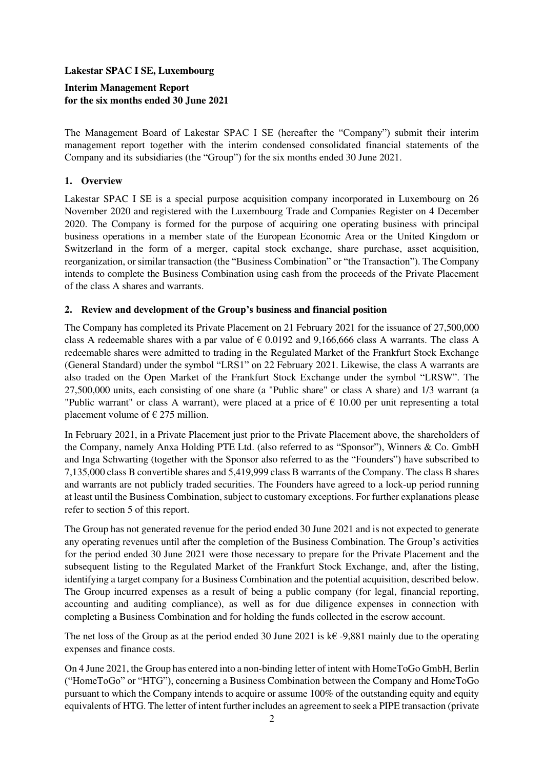## **Interim Management Report for the six months ended 30 June 2021**

The Management Board of Lakestar SPAC I SE (hereafter the "Company") submit their interim management report together with the interim condensed consolidated financial statements of the Company and its subsidiaries (the "Group") for the six months ended 30 June 2021.

## **1. Overview**

Lakestar SPAC I SE is a special purpose acquisition company incorporated in Luxembourg on 26 November 2020 and registered with the Luxembourg Trade and Companies Register on 4 December 2020. The Company is formed for the purpose of acquiring one operating business with principal business operations in a member state of the European Economic Area or the United Kingdom or Switzerland in the form of a merger, capital stock exchange, share purchase, asset acquisition, reorganization, or similar transaction (the "Business Combination" or "the Transaction"). The Company intends to complete the Business Combination using cash from the proceeds of the Private Placement of the class A shares and warrants.

#### **2. Review and development of the Group's business and financial position**

The Company has completed its Private Placement on 21 February 2021 for the issuance of 27,500,000 class A redeemable shares with a par value of  $\epsilon$  0.0192 and 9,166,666 class A warrants. The class A redeemable shares were admitted to trading in the Regulated Market of the Frankfurt Stock Exchange (General Standard) under the symbol "LRS1" on 22 February 2021. Likewise, the class A warrants are also traded on the Open Market of the Frankfurt Stock Exchange under the symbol "LRSW". The 27,500,000 units, each consisting of one share (a "Public share" or class A share) and 1/3 warrant (a "Public warrant" or class A warrant), were placed at a price of  $\epsilon$  10.00 per unit representing a total placement volume of  $\epsilon$  275 million.

In February 2021, in a Private Placement just prior to the Private Placement above, the shareholders of the Company, namely Anxa Holding PTE Ltd. (also referred to as "Sponsor"), Winners & Co. GmbH and Inga Schwarting (together with the Sponsor also referred to as the "Founders") have subscribed to 7,135,000 class B convertible shares and 5,419,999 class B warrants of the Company. The class B shares and warrants are not publicly traded securities. The Founders have agreed to a lock-up period running at least until the Business Combination, subject to customary exceptions. For further explanations please refer to section 5 of this report.

The Group has not generated revenue for the period ended 30 June 2021 and is not expected to generate any operating revenues until after the completion of the Business Combination. The Group's activities for the period ended 30 June 2021 were those necessary to prepare for the Private Placement and the subsequent listing to the Regulated Market of the Frankfurt Stock Exchange, and, after the listing, identifying a target company for a Business Combination and the potential acquisition, described below. The Group incurred expenses as a result of being a public company (for legal, financial reporting, accounting and auditing compliance), as well as for due diligence expenses in connection with completing a Business Combination and for holding the funds collected in the escrow account.

The net loss of the Group as at the period ended 30 June 2021 is k€ -9,881 mainly due to the operating expenses and finance costs.

On 4 June 2021, the Group has entered into a non-binding letter of intent with HomeToGo GmbH, Berlin ("HomeToGo" or "HTG"), concerning a Business Combination between the Company and HomeToGo pursuant to which the Company intends to acquire or assume 100% of the outstanding equity and equity equivalents of HTG. The letter of intent further includes an agreement to seek a PIPE transaction (private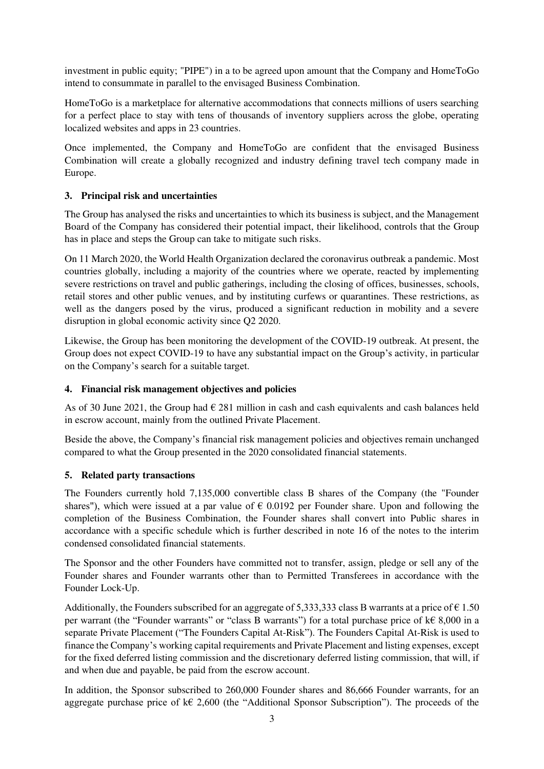investment in public equity; "PIPE") in a to be agreed upon amount that the Company and HomeToGo intend to consummate in parallel to the envisaged Business Combination.

HomeToGo is a marketplace for alternative accommodations that connects millions of users searching for a perfect place to stay with tens of thousands of inventory suppliers across the globe, operating localized websites and apps in 23 countries.

Once implemented, the Company and HomeToGo are confident that the envisaged Business Combination will create a globally recognized and industry defining travel tech company made in Europe.

## **3. Principal risk and uncertainties**

The Group has analysed the risks and uncertainties to which its business is subject, and the Management Board of the Company has considered their potential impact, their likelihood, controls that the Group has in place and steps the Group can take to mitigate such risks.

On 11 March 2020, the World Health Organization declared the coronavirus outbreak a pandemic. Most countries globally, including a majority of the countries where we operate, reacted by implementing severe restrictions on travel and public gatherings, including the closing of offices, businesses, schools, retail stores and other public venues, and by instituting curfews or quarantines. These restrictions, as well as the dangers posed by the virus, produced a significant reduction in mobility and a severe disruption in global economic activity since Q2 2020.

Likewise, the Group has been monitoring the development of the COVID-19 outbreak. At present, the Group does not expect COVID-19 to have any substantial impact on the Group's activity, in particular on the Company's search for a suitable target.

## **4. Financial risk management objectives and policies**

As of 30 June 2021, the Group had  $\epsilon$  281 million in cash and cash equivalents and cash balances held in escrow account, mainly from the outlined Private Placement.

Beside the above, the Company's financial risk management policies and objectives remain unchanged compared to what the Group presented in the 2020 consolidated financial statements.

## **5. Related party transactions**

The Founders currently hold 7,135,000 convertible class B shares of the Company (the "Founder shares"), which were issued at a par value of  $\epsilon$  0.0192 per Founder share. Upon and following the completion of the Business Combination, the Founder shares shall convert into Public shares in accordance with a specific schedule which is further described in note 16 of the notes to the interim condensed consolidated financial statements.

The Sponsor and the other Founders have committed not to transfer, assign, pledge or sell any of the Founder shares and Founder warrants other than to Permitted Transferees in accordance with the Founder Lock-Up.

Additionally, the Founders subscribed for an aggregate of 5,333,333 class B warrants at a price of  $\epsilon$  1.50 per warrant (the "Founder warrants" or "class B warrants") for a total purchase price of k€ 8,000 in a separate Private Placement ("The Founders Capital At-Risk"). The Founders Capital At-Risk is used to finance the Company's working capital requirements and Private Placement and listing expenses, except for the fixed deferred listing commission and the discretionary deferred listing commission, that will, if and when due and payable, be paid from the escrow account.

In addition, the Sponsor subscribed to 260,000 Founder shares and 86,666 Founder warrants, for an aggregate purchase price of k $\epsilon$  2,600 (the "Additional Sponsor Subscription"). The proceeds of the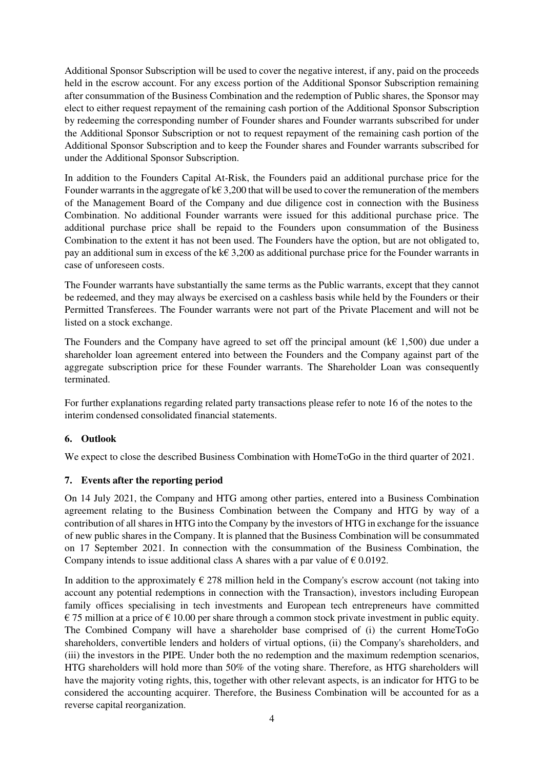Additional Sponsor Subscription will be used to cover the negative interest, if any, paid on the proceeds held in the escrow account. For any excess portion of the Additional Sponsor Subscription remaining after consummation of the Business Combination and the redemption of Public shares, the Sponsor may elect to either request repayment of the remaining cash portion of the Additional Sponsor Subscription by redeeming the corresponding number of Founder shares and Founder warrants subscribed for under the Additional Sponsor Subscription or not to request repayment of the remaining cash portion of the Additional Sponsor Subscription and to keep the Founder shares and Founder warrants subscribed for under the Additional Sponsor Subscription.

In addition to the Founders Capital At-Risk, the Founders paid an additional purchase price for the Founder warrants in the aggregate of  $k \in 3,200$  that will be used to cover the remuneration of the members of the Management Board of the Company and due diligence cost in connection with the Business Combination. No additional Founder warrants were issued for this additional purchase price. The additional purchase price shall be repaid to the Founders upon consummation of the Business Combination to the extent it has not been used. The Founders have the option, but are not obligated to, pay an additional sum in excess of the k€ 3,200 as additional purchase price for the Founder warrants in case of unforeseen costs.

The Founder warrants have substantially the same terms as the Public warrants, except that they cannot be redeemed, and they may always be exercised on a cashless basis while held by the Founders or their Permitted Transferees. The Founder warrants were not part of the Private Placement and will not be listed on a stock exchange.

The Founders and the Company have agreed to set off the principal amount ( $k \in 1,500$ ) due under a shareholder loan agreement entered into between the Founders and the Company against part of the aggregate subscription price for these Founder warrants. The Shareholder Loan was consequently terminated.

For further explanations regarding related party transactions please refer to note 16 of the notes to the interim condensed consolidated financial statements.

## **6. Outlook**

We expect to close the described Business Combination with HomeToGo in the third quarter of 2021.

## **7. Events after the reporting period**

On 14 July 2021, the Company and HTG among other parties, entered into a Business Combination agreement relating to the Business Combination between the Company and HTG by way of a contribution of all shares in HTG into the Company by the investors of HTG in exchange for the issuance of new public shares in the Company. It is planned that the Business Combination will be consummated on 17 September 2021. In connection with the consummation of the Business Combination, the Company intends to issue additional class A shares with a par value of  $\epsilon$  0.0192.

In addition to the approximately  $\epsilon$  278 million held in the Company's escrow account (not taking into account any potential redemptions in connection with the Transaction), investors including European family offices specialising in tech investments and European tech entrepreneurs have committed  $\epsilon$  75 million at a price of  $\epsilon$  10.00 per share through a common stock private investment in public equity. The Combined Company will have a shareholder base comprised of (i) the current HomeToGo shareholders, convertible lenders and holders of virtual options, (ii) the Company's shareholders, and (iii) the investors in the PIPE. Under both the no redemption and the maximum redemption scenarios, HTG shareholders will hold more than 50% of the voting share. Therefore, as HTG shareholders will have the majority voting rights, this, together with other relevant aspects, is an indicator for HTG to be considered the accounting acquirer. Therefore, the Business Combination will be accounted for as a reverse capital reorganization.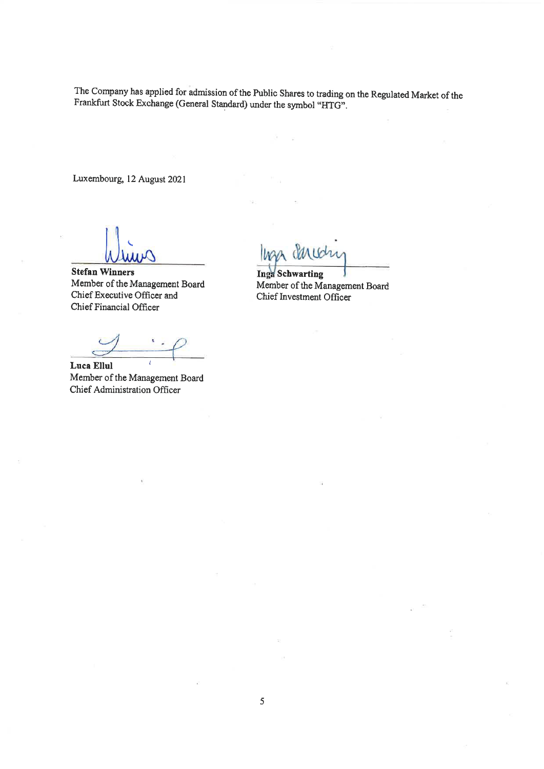The Company has applied for admission of the Public Shares to trading on the Regulated Market of the Frankfurt Stock Exchange (General Standard) under the symbol "HTG".

Luxembourg, 12 August 2021

**Stefan Winners** Member of the Management Board Chief Executive Officer and Chief Financial Officer

Luca Ellul Member of the Management Board Chief Administration Officer

**Inga Schwarting** Member of the Management Board Chief Investment Officer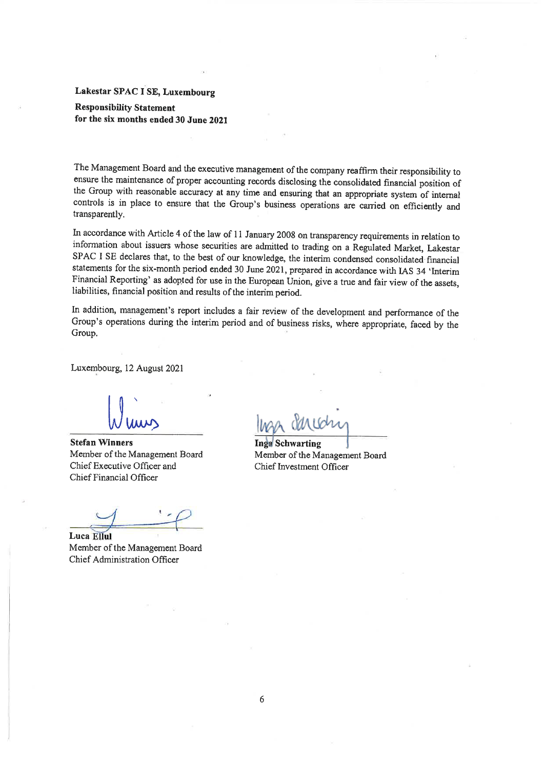#### **Responsibility Statement** for the six months ended 30 June 2021

The Management Board and the executive management of the company reaffirm their responsibility to ensure the maintenance of proper accounting records disclosing the consolidated financial position of the Group with reasonable accuracy at any time and ensuring that an appropriate system of internal controls is in place to ensure that the Group's business operations are carried on efficiently and transparently.

In accordance with Article 4 of the law of 11 January 2008 on transparency requirements in relation to information about issuers whose securities are admitted to trading on a Regulated Market, Lakestar SPAC I SE declares that, to the best of our knowledge, the interim condensed consolidated financial statements for the six-month period ended 30 June 2021, prepared in accordance with IAS 34 'Interim Financial Reporting' as adopted for use in the European Union, give a true and fair view of the assets, liabilities, financial position and results of the interim period.

In addition, management's report includes a fair review of the development and performance of the Group's operations during the interim period and of business risks, where appropriate, faced by the Group.

Luxembourg, 12 August 2021

**Stefan Winners** Member of the Management Board Chief Executive Officer and Chief Financial Officer

Luca Ellul Member of the Management Board Chief Administration Officer

**Inga** Schwarting Member of the Management Board Chief Investment Officer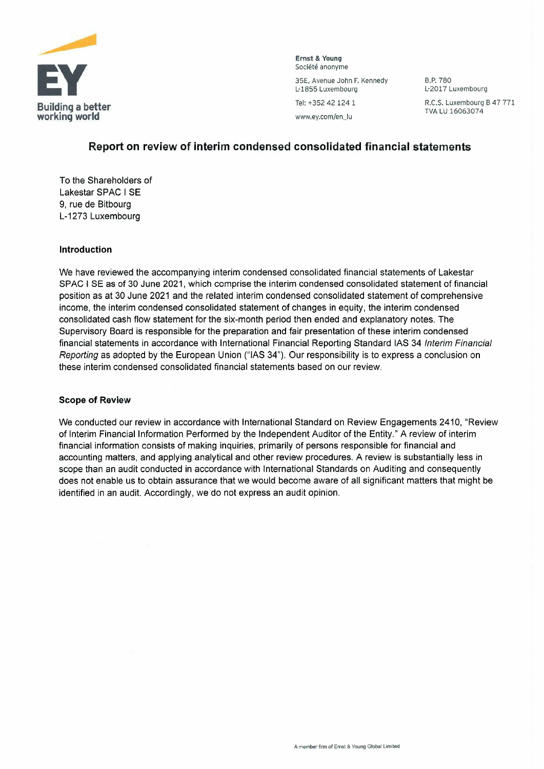

**Ernst & Young**<br>Société anonyme

L-1855 Luxembourg

B.P.780 L-2017 Luxembourg

Tel: +352 421241

## **Report on review of interim condensed consolidated financial statements**

To the Shareholders of Lakestar SPAC I SE 9, rue de Bitbourg L-1273 Luxembourg

#### **Introduction**

We have reviewed the accompanying interim condensed consolidated financial statements of Lakestar SPAC I SE as of 30 June 2021, which comprise the interim condensed consolidated statement of financial position as at 30 June 2021 and the related interim condensed consolidated statement of comprehensive income, the interim condensed consolidated statement of changes in equity, the interim condensed consolidated cash flow statement for the six-month period then ended and explanatory notes. The Supervisory Board is responsible for the preparation and fair presentation of these interim condensed financial statements in accordance with International Financial Reporting Standard IAS 34 Interim Financial Reporting as adopted by the European Union ("lAS 34"). Our responsibility is to express a conclusion on these interim condensed consolidated financial statements based on our review.

#### **Scope of Review**

We conducted our review in accordance with International Standard on Review Engagements 2410, "Review of Interim Financial Information Performed by the Independent Auditor of the Entity." A review of interim financial information consists of making inquiries, primarily of persons responsible for financial and accounting matters, and applying analytical and other review procedures. A review is substantially less in scope than an audit conducted in accordance with International Standards on Auditing and consequently does not enable us to obtain assurance that we would become aware of all significant matters that might be identified in an audit. Accordingly, we do not express an audit opinion.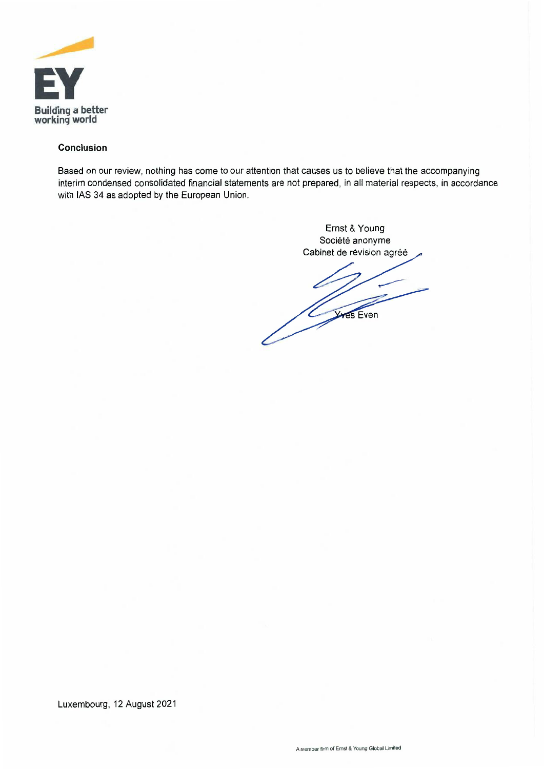

#### **Conclusion**

Based on our review, nothing has come to our attention that causes us to believe that the accompanying interim condensed consolidated financial statements are not prepared, in all material respects, in accordance with lAS 34 as adopted by the European Union.

> Ernst & Young Société anonyme Cabinet de révision agréé Ves Even  $\frac{\sqrt{2}}{2}$

Luxembourg, 12 August 2021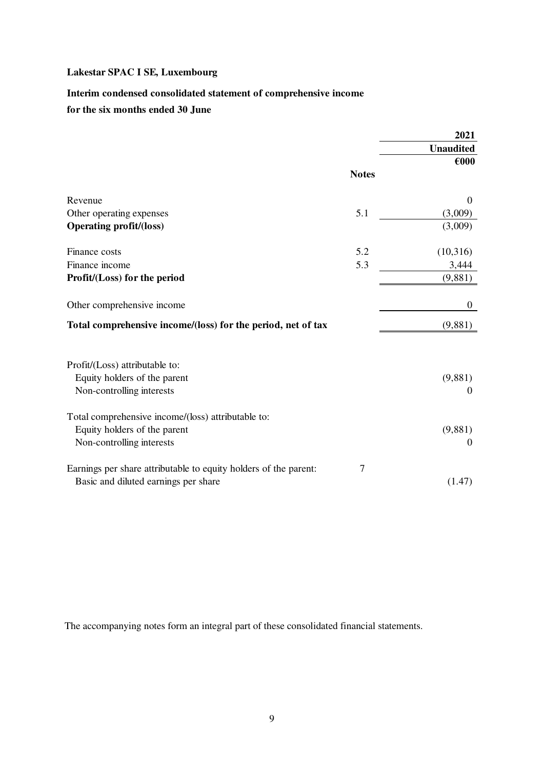## **Interim condensed consolidated statement of comprehensive income**

## **for the six months ended 30 June**

|                                                                  |              | 2021             |
|------------------------------------------------------------------|--------------|------------------|
|                                                                  |              | <b>Unaudited</b> |
|                                                                  |              | $\epsilon$ 000   |
|                                                                  | <b>Notes</b> |                  |
| Revenue                                                          |              | $\mathbf{0}$     |
| Other operating expenses                                         | 5.1          | (3,009)          |
| <b>Operating profit/(loss)</b>                                   |              | (3,009)          |
| Finance costs                                                    | 5.2          | (10,316)         |
| Finance income                                                   | 5.3          | 3,444            |
| Profit/(Loss) for the period                                     |              | (9,881)          |
| Other comprehensive income                                       |              | $\mathbf{0}$     |
| Total comprehensive income/(loss) for the period, net of tax     |              | (9,881)          |
| Profit/(Loss) attributable to:                                   |              |                  |
| Equity holders of the parent                                     |              | (9,881)          |
| Non-controlling interests                                        |              | $\theta$         |
| Total comprehensive income/(loss) attributable to:               |              |                  |
| Equity holders of the parent                                     |              | (9,881)          |
| Non-controlling interests                                        |              | $\theta$         |
| Earnings per share attributable to equity holders of the parent: | 7            |                  |
| Basic and diluted earnings per share                             |              | (1.47)           |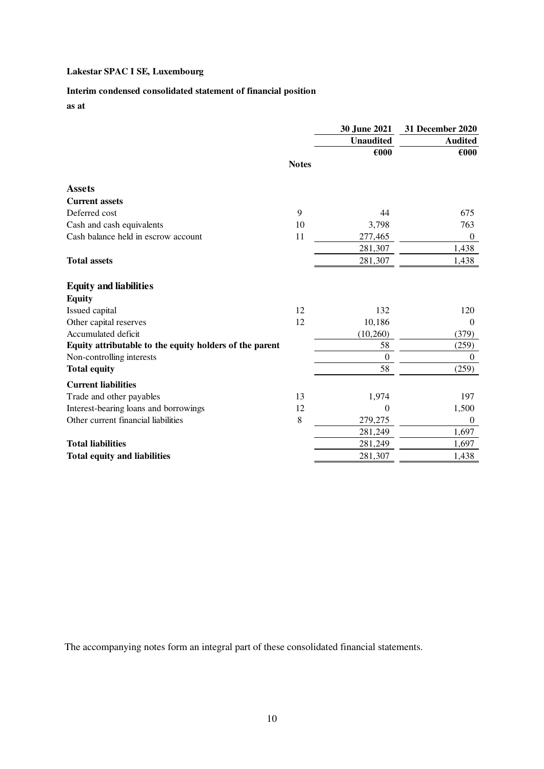## **Interim condensed consolidated statement of financial position**

**as at**

|                                                         |              | 30 June 2021                       | 31 December 2020                 |
|---------------------------------------------------------|--------------|------------------------------------|----------------------------------|
|                                                         |              | <b>Unaudited</b><br>$\epsilon$ 000 | <b>Audited</b><br>$\epsilon$ 000 |
|                                                         | <b>Notes</b> |                                    |                                  |
| <b>Assets</b>                                           |              |                                    |                                  |
| <b>Current assets</b>                                   |              |                                    |                                  |
| Deferred cost                                           | 9            | 44                                 | 675                              |
| Cash and cash equivalents                               | 10           | 3,798                              | 763                              |
| Cash balance held in escrow account                     | 11           | 277,465                            | $\theta$                         |
|                                                         |              | 281,307                            | 1,438                            |
| <b>Total assets</b>                                     |              | 281,307                            | 1,438                            |
| <b>Equity and liabilities</b>                           |              |                                    |                                  |
| <b>Equity</b>                                           |              |                                    |                                  |
| Issued capital                                          | 12           | 132                                | 120                              |
| Other capital reserves                                  | 12           | 10,186                             | $\mathbf{0}$                     |
| Accumulated deficit                                     |              | (10, 260)                          | (379)                            |
| Equity attributable to the equity holders of the parent |              | 58                                 | (259)                            |
| Non-controlling interests                               |              | $\theta$                           | $\boldsymbol{0}$                 |
| <b>Total equity</b>                                     |              | 58                                 | (259)                            |
| <b>Current liabilities</b>                              |              |                                    |                                  |
| Trade and other payables                                | 13           | 1,974                              | 197                              |
| Interest-bearing loans and borrowings                   | 12           | $\theta$                           | 1,500                            |
| Other current financial liabilities                     | $\,8\,$      | 279,275                            | $\theta$                         |
|                                                         |              | 281,249                            | 1,697                            |
| <b>Total liabilities</b>                                |              | 281,249                            | 1,697                            |
| <b>Total equity and liabilities</b>                     |              | 281,307                            | 1,438                            |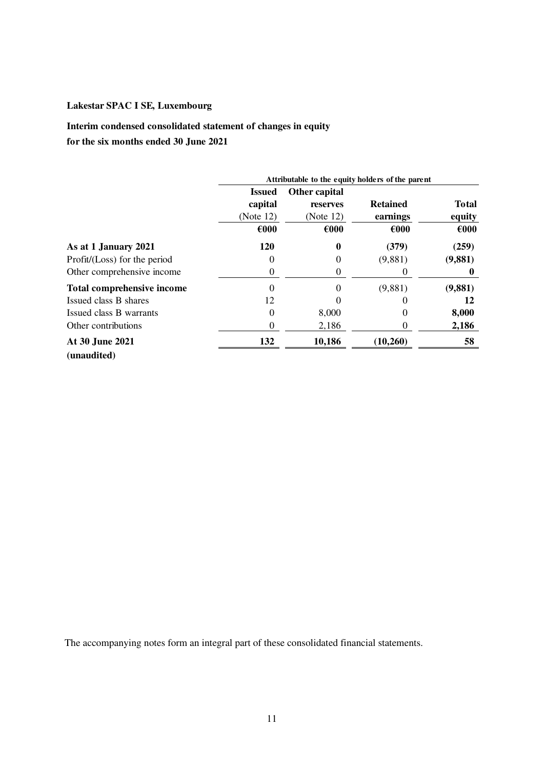**Interim condensed consolidated statement of changes in equity for the six months ended 30 June 2021**

|                              | Attributable to the equity holders of the parent |                |                   |                |
|------------------------------|--------------------------------------------------|----------------|-------------------|----------------|
|                              | <b>Issued</b>                                    | Other capital  |                   |                |
|                              | capital                                          | reserves       | <b>Retained</b>   | <b>Total</b>   |
|                              | (Note 12)                                        | (Note 12)      | earnings          | equity         |
|                              | $\epsilon$ 000                                   | $\epsilon$ 000 | €000              | $\epsilon$ 000 |
| As at 1 January 2021         | <b>120</b>                                       | 0              | (379)             | (259)          |
| Profit/(Loss) for the period | 0                                                | $_{0}$         | (9,881)           | (9,881)        |
| Other comprehensive income   | 0                                                | 0              |                   |                |
| Total comprehensive income   | 0                                                | 0              | (9,881)           | (9,881)        |
| Issued class B shares        | 12                                               |                | U                 | 12             |
| Issued class B warrants      | $\Omega$                                         | 8,000          | $\mathbf{\Omega}$ | 8,000          |
| Other contributions          | 0                                                | 2,186          | O                 | 2,186          |
| At 30 June 2021              | 132                                              | 10,186         | (10,260)          | 58             |
| (unaudited)                  |                                                  |                |                   |                |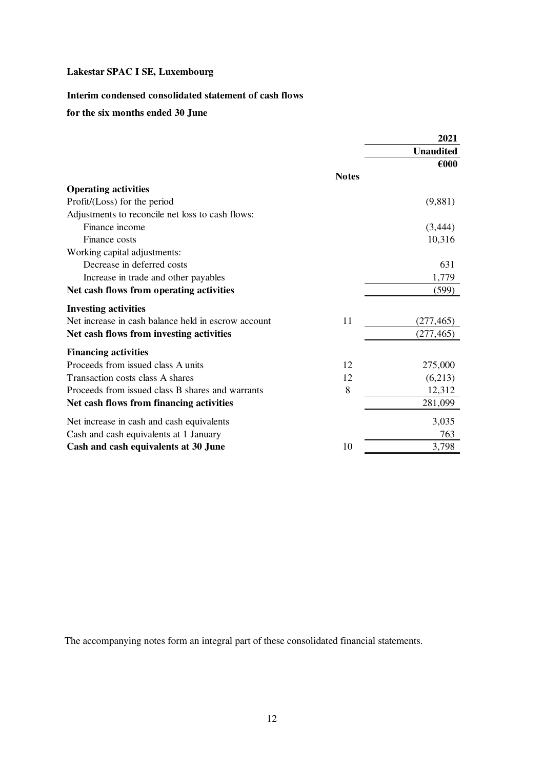## **Interim condensed consolidated statement of cash flows**

#### **for the six months ended 30 June**

|                                                     |              | 2021             |
|-----------------------------------------------------|--------------|------------------|
|                                                     |              | <b>Unaudited</b> |
|                                                     |              | $\epsilon$ 000   |
|                                                     | <b>Notes</b> |                  |
| <b>Operating activities</b>                         |              |                  |
| Profit/(Loss) for the period                        |              | (9,881)          |
| Adjustments to reconcile net loss to cash flows:    |              |                  |
| Finance income                                      |              | (3, 444)         |
| Finance costs                                       |              | 10,316           |
| Working capital adjustments:                        |              |                  |
| Decrease in deferred costs                          |              | 631              |
| Increase in trade and other payables                |              | 1,779            |
| Net cash flows from operating activities            |              | (599)            |
| <b>Investing activities</b>                         |              |                  |
| Net increase in cash balance held in escrow account | 11           | (277, 465)       |
| Net cash flows from investing activities            |              | (277, 465)       |
| <b>Financing activities</b>                         |              |                  |
| Proceeds from issued class A units                  | 12           | 275,000          |
| Transaction costs class A shares                    | 12           | (6,213)          |
| Proceeds from issued class B shares and warrants    | 8            | 12,312           |
| Net cash flows from financing activities            |              | 281,099          |
| Net increase in cash and cash equivalents           |              | 3,035            |
| Cash and cash equivalents at 1 January              |              | 763              |
| Cash and cash equivalents at 30 June                | 10           | 3,798            |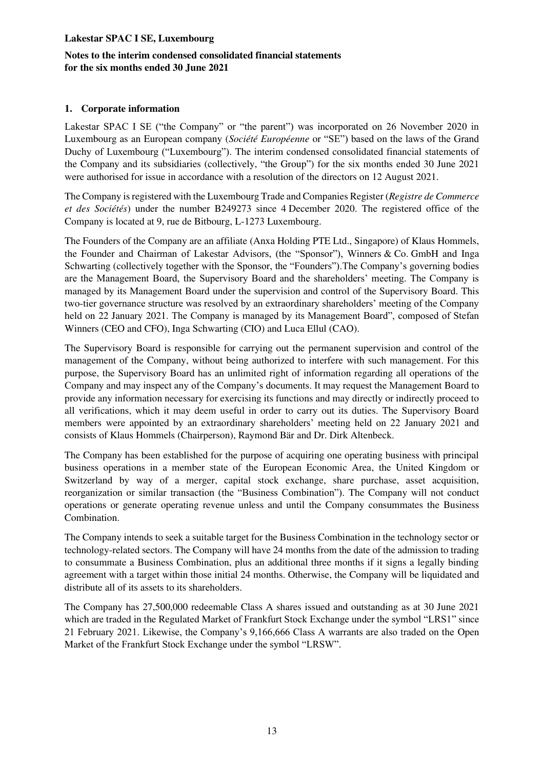## **Notes to the interim condensed consolidated financial statements for the six months ended 30 June 2021**

## **1. Corporate information**

Lakestar SPAC I SE ("the Company" or "the parent") was incorporated on 26 November 2020 in Luxembourg as an European company (*Société Européenne* or "SE") based on the laws of the Grand Duchy of Luxembourg ("Luxembourg"). The interim condensed consolidated financial statements of the Company and its subsidiaries (collectively, "the Group") for the six months ended 30 June 2021 were authorised for issue in accordance with a resolution of the directors on 12 August 2021.

The Company is registered with the Luxembourg Trade and Companies Register (*Registre de Commerce et des Sociétés*) under the number B249273 since 4 December 2020. The registered office of the Company is located at 9, rue de Bitbourg, L-1273 Luxembourg.

The Founders of the Company are an affiliate (Anxa Holding PTE Ltd., Singapore) of Klaus Hommels, the Founder and Chairman of Lakestar Advisors, (the "Sponsor"), Winners & Co. GmbH and Inga Schwarting (collectively together with the Sponsor, the "Founders").The Company's governing bodies are the Management Board, the Supervisory Board and the shareholders' meeting. The Company is managed by its Management Board under the supervision and control of the Supervisory Board. This two-tier governance structure was resolved by an extraordinary shareholders' meeting of the Company held on 22 January 2021. The Company is managed by its Management Board", composed of Stefan Winners (CEO and CFO), Inga Schwarting (CIO) and Luca Ellul (CAO).

The Supervisory Board is responsible for carrying out the permanent supervision and control of the management of the Company, without being authorized to interfere with such management. For this purpose, the Supervisory Board has an unlimited right of information regarding all operations of the Company and may inspect any of the Company's documents. It may request the Management Board to provide any information necessary for exercising its functions and may directly or indirectly proceed to all verifications, which it may deem useful in order to carry out its duties. The Supervisory Board members were appointed by an extraordinary shareholders' meeting held on 22 January 2021 and consists of Klaus Hommels (Chairperson), Raymond Bär and Dr. Dirk Altenbeck.

The Company has been established for the purpose of acquiring one operating business with principal business operations in a member state of the European Economic Area, the United Kingdom or Switzerland by way of a merger, capital stock exchange, share purchase, asset acquisition, reorganization or similar transaction (the "Business Combination"). The Company will not conduct operations or generate operating revenue unless and until the Company consummates the Business Combination.

The Company intends to seek a suitable target for the Business Combination in the technology sector or technology-related sectors. The Company will have 24 months from the date of the admission to trading to consummate a Business Combination, plus an additional three months if it signs a legally binding agreement with a target within those initial 24 months. Otherwise, the Company will be liquidated and distribute all of its assets to its shareholders.

The Company has 27,500,000 redeemable Class A shares issued and outstanding as at 30 June 2021 which are traded in the Regulated Market of Frankfurt Stock Exchange under the symbol "LRS1" since 21 February 2021. Likewise, the Company's 9,166,666 Class A warrants are also traded on the Open Market of the Frankfurt Stock Exchange under the symbol "LRSW".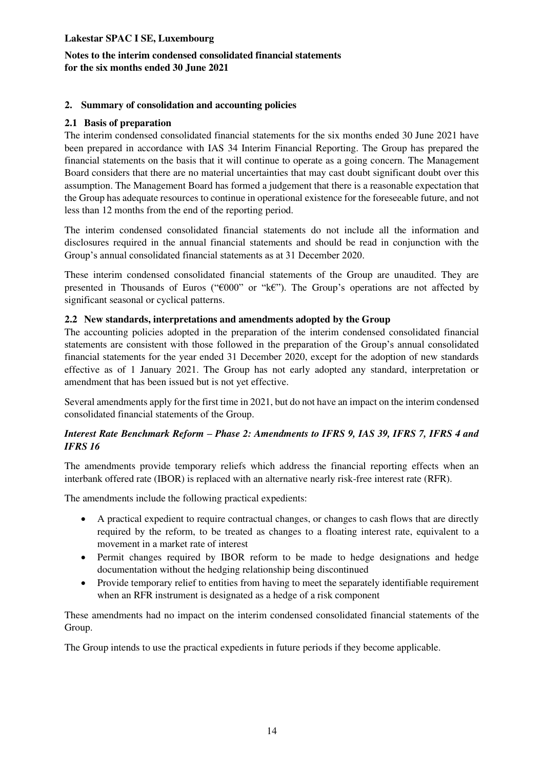## **Notes to the interim condensed consolidated financial statements for the six months ended 30 June 2021**

## **2. Summary of consolidation and accounting policies**

#### **2.1 Basis of preparation**

The interim condensed consolidated financial statements for the six months ended 30 June 2021 have been prepared in accordance with IAS 34 Interim Financial Reporting. The Group has prepared the financial statements on the basis that it will continue to operate as a going concern. The Management Board considers that there are no material uncertainties that may cast doubt significant doubt over this assumption. The Management Board has formed a judgement that there is a reasonable expectation that the Group has adequate resources to continue in operational existence for the foreseeable future, and not less than 12 months from the end of the reporting period.

The interim condensed consolidated financial statements do not include all the information and disclosures required in the annual financial statements and should be read in conjunction with the Group's annual consolidated financial statements as at 31 December 2020.

These interim condensed consolidated financial statements of the Group are unaudited. They are presented in Thousands of Euros ("€000" or "k€"). The Group's operations are not affected by significant seasonal or cyclical patterns.

#### **2.2 New standards, interpretations and amendments adopted by the Group**

The accounting policies adopted in the preparation of the interim condensed consolidated financial statements are consistent with those followed in the preparation of the Group's annual consolidated financial statements for the year ended 31 December 2020, except for the adoption of new standards effective as of 1 January 2021. The Group has not early adopted any standard, interpretation or amendment that has been issued but is not yet effective.

Several amendments apply for the first time in 2021, but do not have an impact on the interim condensed consolidated financial statements of the Group.

## *Interest Rate Benchmark Reform – Phase 2: Amendments to IFRS 9, IAS 39, IFRS 7, IFRS 4 and IFRS 16*

The amendments provide temporary reliefs which address the financial reporting effects when an interbank offered rate (IBOR) is replaced with an alternative nearly risk-free interest rate (RFR).

The amendments include the following practical expedients:

- A practical expedient to require contractual changes, or changes to cash flows that are directly required by the reform, to be treated as changes to a floating interest rate, equivalent to a movement in a market rate of interest
- Permit changes required by IBOR reform to be made to hedge designations and hedge documentation without the hedging relationship being discontinued
- Provide temporary relief to entities from having to meet the separately identifiable requirement when an RFR instrument is designated as a hedge of a risk component

These amendments had no impact on the interim condensed consolidated financial statements of the Group.

The Group intends to use the practical expedients in future periods if they become applicable.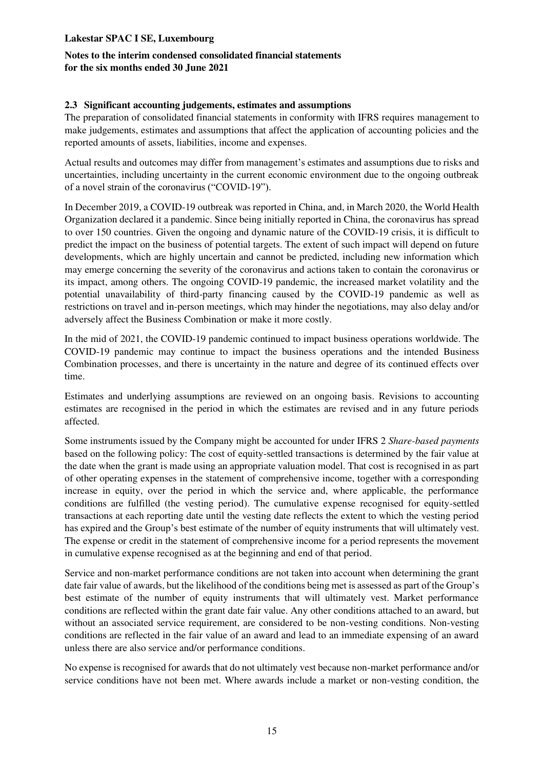## **Notes to the interim condensed consolidated financial statements for the six months ended 30 June 2021**

## **2.3 Significant accounting judgements, estimates and assumptions**

The preparation of consolidated financial statements in conformity with IFRS requires management to make judgements, estimates and assumptions that affect the application of accounting policies and the reported amounts of assets, liabilities, income and expenses.

Actual results and outcomes may differ from management's estimates and assumptions due to risks and uncertainties, including uncertainty in the current economic environment due to the ongoing outbreak of a novel strain of the coronavirus ("COVID-19").

In December 2019, a COVID-19 outbreak was reported in China, and, in March 2020, the World Health Organization declared it a pandemic. Since being initially reported in China, the coronavirus has spread to over 150 countries. Given the ongoing and dynamic nature of the COVID-19 crisis, it is difficult to predict the impact on the business of potential targets. The extent of such impact will depend on future developments, which are highly uncertain and cannot be predicted, including new information which may emerge concerning the severity of the coronavirus and actions taken to contain the coronavirus or its impact, among others. The ongoing COVID-19 pandemic, the increased market volatility and the potential unavailability of third-party financing caused by the COVID-19 pandemic as well as restrictions on travel and in-person meetings, which may hinder the negotiations, may also delay and/or adversely affect the Business Combination or make it more costly.

In the mid of 2021, the COVID-19 pandemic continued to impact business operations worldwide. The COVID-19 pandemic may continue to impact the business operations and the intended Business Combination processes, and there is uncertainty in the nature and degree of its continued effects over time.

Estimates and underlying assumptions are reviewed on an ongoing basis. Revisions to accounting estimates are recognised in the period in which the estimates are revised and in any future periods affected.

Some instruments issued by the Company might be accounted for under IFRS 2 *Share-based payments* based on the following policy: The cost of equity-settled transactions is determined by the fair value at the date when the grant is made using an appropriate valuation model. That cost is recognised in as part of other operating expenses in the statement of comprehensive income, together with a corresponding increase in equity, over the period in which the service and, where applicable, the performance conditions are fulfilled (the vesting period). The cumulative expense recognised for equity-settled transactions at each reporting date until the vesting date reflects the extent to which the vesting period has expired and the Group's best estimate of the number of equity instruments that will ultimately vest. The expense or credit in the statement of comprehensive income for a period represents the movement in cumulative expense recognised as at the beginning and end of that period.

Service and non-market performance conditions are not taken into account when determining the grant date fair value of awards, but the likelihood of the conditions being met is assessed as part of the Group's best estimate of the number of equity instruments that will ultimately vest. Market performance conditions are reflected within the grant date fair value. Any other conditions attached to an award, but without an associated service requirement, are considered to be non-vesting conditions. Non-vesting conditions are reflected in the fair value of an award and lead to an immediate expensing of an award unless there are also service and/or performance conditions.

No expense is recognised for awards that do not ultimately vest because non-market performance and/or service conditions have not been met. Where awards include a market or non-vesting condition, the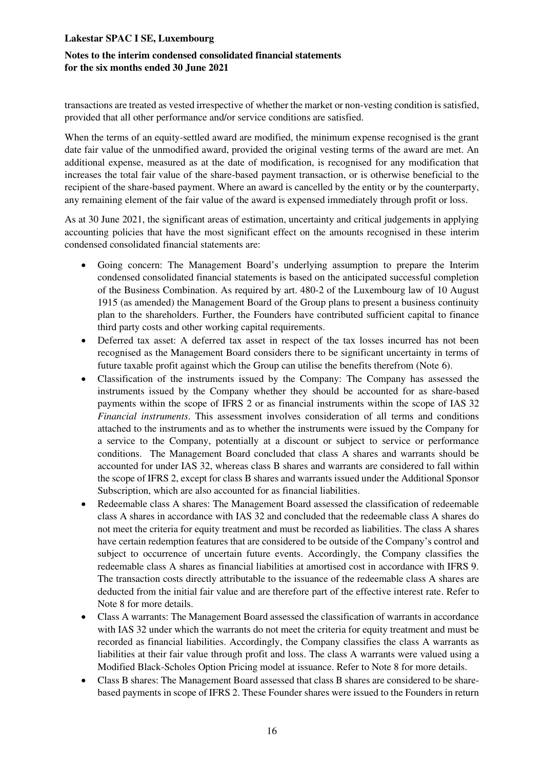## **Notes to the interim condensed consolidated financial statements for the six months ended 30 June 2021**

transactions are treated as vested irrespective of whether the market or non-vesting condition is satisfied, provided that all other performance and/or service conditions are satisfied.

When the terms of an equity-settled award are modified, the minimum expense recognised is the grant date fair value of the unmodified award, provided the original vesting terms of the award are met. An additional expense, measured as at the date of modification, is recognised for any modification that increases the total fair value of the share-based payment transaction, or is otherwise beneficial to the recipient of the share-based payment. Where an award is cancelled by the entity or by the counterparty, any remaining element of the fair value of the award is expensed immediately through profit or loss.

As at 30 June 2021, the significant areas of estimation, uncertainty and critical judgements in applying accounting policies that have the most significant effect on the amounts recognised in these interim condensed consolidated financial statements are:

- Going concern: The Management Board's underlying assumption to prepare the Interim condensed consolidated financial statements is based on the anticipated successful completion of the Business Combination. As required by art. 480-2 of the Luxembourg law of 10 August 1915 (as amended) the Management Board of the Group plans to present a business continuity plan to the shareholders. Further, the Founders have contributed sufficient capital to finance third party costs and other working capital requirements.
- Deferred tax asset: A deferred tax asset in respect of the tax losses incurred has not been recognised as the Management Board considers there to be significant uncertainty in terms of future taxable profit against which the Group can utilise the benefits therefrom (Note 6).
- Classification of the instruments issued by the Company: The Company has assessed the instruments issued by the Company whether they should be accounted for as share-based payments within the scope of IFRS 2 or as financial instruments within the scope of IAS 32 *Financial instruments*. This assessment involves consideration of all terms and conditions attached to the instruments and as to whether the instruments were issued by the Company for a service to the Company, potentially at a discount or subject to service or performance conditions. The Management Board concluded that class A shares and warrants should be accounted for under IAS 32, whereas class B shares and warrants are considered to fall within the scope of IFRS 2, except for class B shares and warrants issued under the Additional Sponsor Subscription, which are also accounted for as financial liabilities.
- Redeemable class A shares: The Management Board assessed the classification of redeemable class A shares in accordance with IAS 32 and concluded that the redeemable class A shares do not meet the criteria for equity treatment and must be recorded as liabilities. The class A shares have certain redemption features that are considered to be outside of the Company's control and subject to occurrence of uncertain future events. Accordingly, the Company classifies the redeemable class A shares as financial liabilities at amortised cost in accordance with IFRS 9. The transaction costs directly attributable to the issuance of the redeemable class A shares are deducted from the initial fair value and are therefore part of the effective interest rate. Refer to Note 8 for more details.
- Class A warrants: The Management Board assessed the classification of warrants in accordance with IAS 32 under which the warrants do not meet the criteria for equity treatment and must be recorded as financial liabilities. Accordingly, the Company classifies the class A warrants as liabilities at their fair value through profit and loss. The class A warrants were valued using a Modified Black-Scholes Option Pricing model at issuance. Refer to Note 8 for more details.
- Class B shares: The Management Board assessed that class B shares are considered to be sharebased payments in scope of IFRS 2. These Founder shares were issued to the Founders in return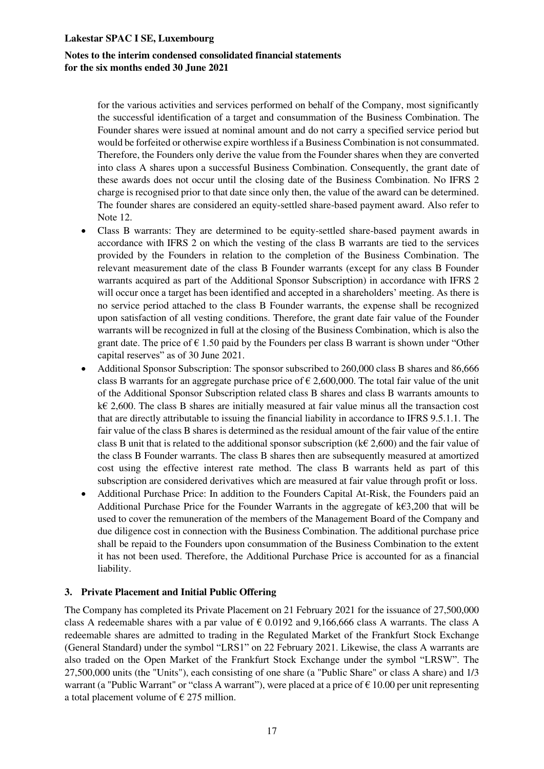## **Notes to the interim condensed consolidated financial statements for the six months ended 30 June 2021**

for the various activities and services performed on behalf of the Company, most significantly the successful identification of a target and consummation of the Business Combination. The Founder shares were issued at nominal amount and do not carry a specified service period but would be forfeited or otherwise expire worthless if a Business Combination is not consummated. Therefore, the Founders only derive the value from the Founder shares when they are converted into class A shares upon a successful Business Combination. Consequently, the grant date of these awards does not occur until the closing date of the Business Combination. No IFRS 2 charge is recognised prior to that date since only then, the value of the award can be determined. The founder shares are considered an equity-settled share-based payment award. Also refer to Note 12.

- Class B warrants: They are determined to be equity-settled share-based payment awards in accordance with IFRS 2 on which the vesting of the class B warrants are tied to the services provided by the Founders in relation to the completion of the Business Combination. The relevant measurement date of the class B Founder warrants (except for any class B Founder warrants acquired as part of the Additional Sponsor Subscription) in accordance with IFRS 2 will occur once a target has been identified and accepted in a shareholders' meeting. As there is no service period attached to the class B Founder warrants, the expense shall be recognized upon satisfaction of all vesting conditions. Therefore, the grant date fair value of the Founder warrants will be recognized in full at the closing of the Business Combination, which is also the grant date. The price of  $\epsilon$  1.50 paid by the Founders per class B warrant is shown under "Other capital reserves" as of 30 June 2021.
- Additional Sponsor Subscription: The sponsor subscribed to 260,000 class B shares and 86,666 class B warrants for an aggregate purchase price of  $\epsilon$  2,600,000. The total fair value of the unit of the Additional Sponsor Subscription related class B shares and class B warrants amounts to k€ 2,600. The class B shares are initially measured at fair value minus all the transaction cost that are directly attributable to issuing the financial liability in accordance to IFRS 9.5.1.1. The fair value of the class B shares is determined as the residual amount of the fair value of the entire class B unit that is related to the additional sponsor subscription ( $k \in (2,600)$ ) and the fair value of the class B Founder warrants. The class B shares then are subsequently measured at amortized cost using the effective interest rate method. The class B warrants held as part of this subscription are considered derivatives which are measured at fair value through profit or loss.
- Additional Purchase Price: In addition to the Founders Capital At-Risk, the Founders paid an Additional Purchase Price for the Founder Warrants in the aggregate of  $k \in \{3,200\}$  that will be used to cover the remuneration of the members of the Management Board of the Company and due diligence cost in connection with the Business Combination. The additional purchase price shall be repaid to the Founders upon consummation of the Business Combination to the extent it has not been used. Therefore, the Additional Purchase Price is accounted for as a financial liability.

#### **3. Private Placement and Initial Public Offering**

The Company has completed its Private Placement on 21 February 2021 for the issuance of 27,500,000 class A redeemable shares with a par value of  $\epsilon$  0.0192 and 9,166,666 class A warrants. The class A redeemable shares are admitted to trading in the Regulated Market of the Frankfurt Stock Exchange (General Standard) under the symbol "LRS1" on 22 February 2021. Likewise, the class A warrants are also traded on the Open Market of the Frankfurt Stock Exchange under the symbol "LRSW". The 27,500,000 units (the "Units"), each consisting of one share (a "Public Share" or class A share) and 1/3 warrant (a "Public Warrant" or "class A warrant"), were placed at a price of  $\epsilon$  10.00 per unit representing a total placement volume of  $\epsilon$  275 million.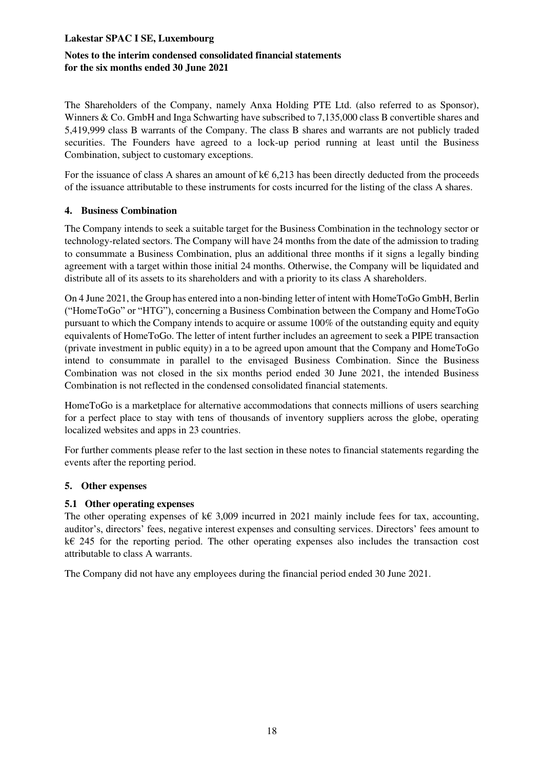## **Notes to the interim condensed consolidated financial statements for the six months ended 30 June 2021**

The Shareholders of the Company, namely Anxa Holding PTE Ltd. (also referred to as Sponsor), Winners & Co. GmbH and Inga Schwarting have subscribed to 7,135,000 class B convertible shares and 5,419,999 class B warrants of the Company. The class B shares and warrants are not publicly traded securities. The Founders have agreed to a lock-up period running at least until the Business Combination, subject to customary exceptions.

For the issuance of class A shares an amount of  $k \in 6,213$  has been directly deducted from the proceeds of the issuance attributable to these instruments for costs incurred for the listing of the class A shares.

## **4. Business Combination**

The Company intends to seek a suitable target for the Business Combination in the technology sector or technology-related sectors. The Company will have 24 months from the date of the admission to trading to consummate a Business Combination, plus an additional three months if it signs a legally binding agreement with a target within those initial 24 months. Otherwise, the Company will be liquidated and distribute all of its assets to its shareholders and with a priority to its class A shareholders.

On 4 June 2021, the Group has entered into a non-binding letter of intent with HomeToGo GmbH, Berlin ("HomeToGo" or "HTG"), concerning a Business Combination between the Company and HomeToGo pursuant to which the Company intends to acquire or assume 100% of the outstanding equity and equity equivalents of HomeToGo. The letter of intent further includes an agreement to seek a PIPE transaction (private investment in public equity) in a to be agreed upon amount that the Company and HomeToGo intend to consummate in parallel to the envisaged Business Combination. Since the Business Combination was not closed in the six months period ended 30 June 2021, the intended Business Combination is not reflected in the condensed consolidated financial statements.

HomeToGo is a marketplace for alternative accommodations that connects millions of users searching for a perfect place to stay with tens of thousands of inventory suppliers across the globe, operating localized websites and apps in 23 countries.

For further comments please refer to the last section in these notes to financial statements regarding the events after the reporting period.

## **5. Other expenses**

## **5.1 Other operating expenses**

The other operating expenses of k $\epsilon$  3,009 incurred in 2021 mainly include fees for tax, accounting, auditor's, directors' fees, negative interest expenses and consulting services. Directors' fees amount to k€ 245 for the reporting period. The other operating expenses also includes the transaction cost attributable to class A warrants.

The Company did not have any employees during the financial period ended 30 June 2021.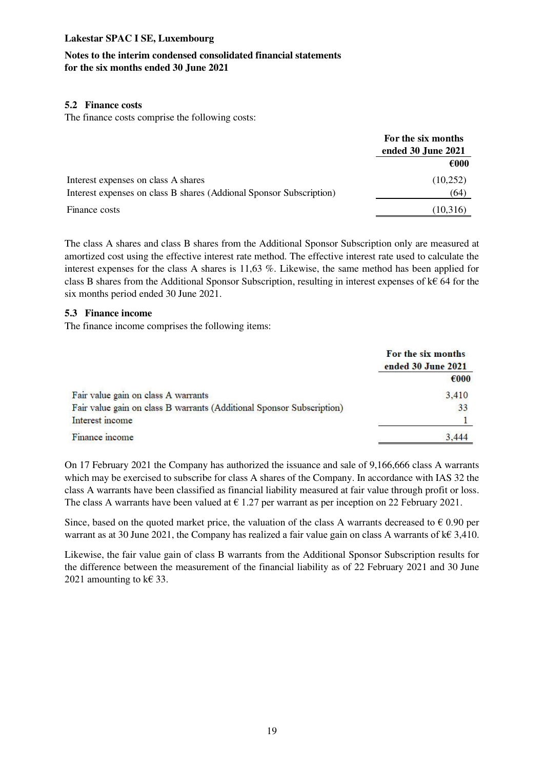## **Notes to the interim condensed consolidated financial statements for the six months ended 30 June 2021**

#### **5.2 Finance costs**

The finance costs comprise the following costs:

|                                                                     | For the six months<br>ended 30 June 2021 |  |
|---------------------------------------------------------------------|------------------------------------------|--|
|                                                                     |                                          |  |
|                                                                     | $\epsilon$ 000                           |  |
| Interest expenses on class A shares                                 | (10,252)                                 |  |
| Interest expenses on class B shares (Addional Sponsor Subscription) | (64)                                     |  |
| Finance costs                                                       | (10,316)                                 |  |

The class A shares and class B shares from the Additional Sponsor Subscription only are measured at amortized cost using the effective interest rate method. The effective interest rate used to calculate the interest expenses for the class A shares is 11,63 %. Likewise, the same method has been applied for class B shares from the Additional Sponsor Subscription, resulting in interest expenses of k€ 64 for the six months period ended 30 June 2021.

#### **5.3 Finance income**

The finance income comprises the following items:

|                                                                       | For the six months<br>ended 30 June 2021 |  |
|-----------------------------------------------------------------------|------------------------------------------|--|
|                                                                       | $\epsilon$ 000                           |  |
| Fair value gain on class A warrants                                   | 3,410                                    |  |
| Fair value gain on class B warrants (Additional Sponsor Subscription) | 33                                       |  |
| Interest income                                                       |                                          |  |
| Finance income                                                        | 3.444                                    |  |

On 17 February 2021 the Company has authorized the issuance and sale of 9,166,666 class A warrants which may be exercised to subscribe for class A shares of the Company. In accordance with IAS 32 the class A warrants have been classified as financial liability measured at fair value through profit or loss. The class A warrants have been valued at  $\epsilon$  1.27 per warrant as per inception on 22 February 2021.

Since, based on the quoted market price, the valuation of the class A warrants decreased to  $\epsilon$  0.90 per warrant as at 30 June 2021, the Company has realized a fair value gain on class A warrants of k€ 3,410.

Likewise, the fair value gain of class B warrants from the Additional Sponsor Subscription results for the difference between the measurement of the financial liability as of 22 February 2021 and 30 June 2021 amounting to  $k \in \{33\}$ .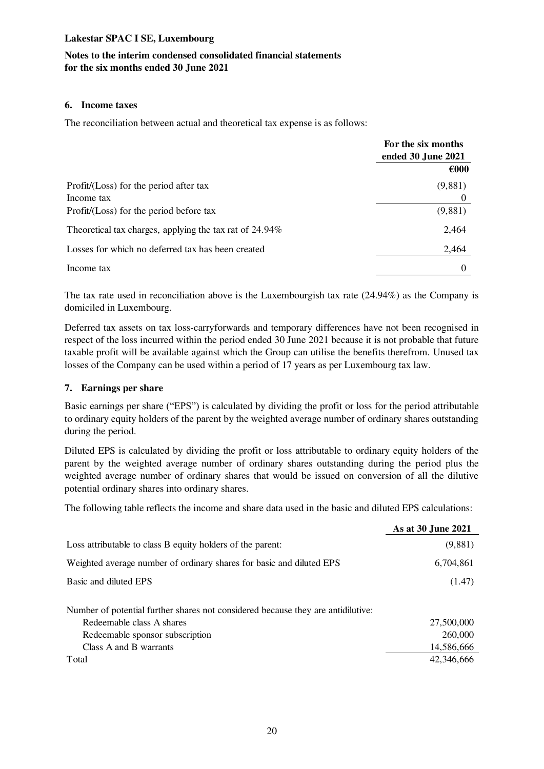## **Notes to the interim condensed consolidated financial statements for the six months ended 30 June 2021**

#### **6. Income taxes**

The reconciliation between actual and theoretical tax expense is as follows:

|                                                         | For the six months<br>ended 30 June 2021 |  |
|---------------------------------------------------------|------------------------------------------|--|
|                                                         | $\epsilon$ 000                           |  |
| Profit/(Loss) for the period after tax                  | (9,881)                                  |  |
| Income tax                                              |                                          |  |
| Profit/(Loss) for the period before tax                 | (9,881)                                  |  |
| Theoretical tax charges, applying the tax rat of 24.94% | 2.464                                    |  |
| Losses for which no deferred tax has been created       | 2,464                                    |  |
| Income tax                                              | $\theta$                                 |  |

The tax rate used in reconciliation above is the Luxembourgish tax rate (24.94%) as the Company is domiciled in Luxembourg.

Deferred tax assets on tax loss-carryforwards and temporary differences have not been recognised in respect of the loss incurred within the period ended 30 June 2021 because it is not probable that future taxable profit will be available against which the Group can utilise the benefits therefrom. Unused tax losses of the Company can be used within a period of 17 years as per Luxembourg tax law.

#### **7. Earnings per share**

Basic earnings per share ("EPS") is calculated by dividing the profit or loss for the period attributable to ordinary equity holders of the parent by the weighted average number of ordinary shares outstanding during the period.

Diluted EPS is calculated by dividing the profit or loss attributable to ordinary equity holders of the parent by the weighted average number of ordinary shares outstanding during the period plus the weighted average number of ordinary shares that would be issued on conversion of all the dilutive potential ordinary shares into ordinary shares.

The following table reflects the income and share data used in the basic and diluted EPS calculations:

|                                                                                  | As at 30 June 2021 |
|----------------------------------------------------------------------------------|--------------------|
| Loss attributable to class B equity holders of the parent:                       | (9,881)            |
| Weighted average number of ordinary shares for basic and diluted EPS             | 6,704,861          |
| Basic and diluted EPS                                                            | (1.47)             |
| Number of potential further shares not considered because they are antidilutive: |                    |
| Redeemable class A shares                                                        | 27,500,000         |
| Redeemable sponsor subscription                                                  | 260,000            |
| Class A and B warrants                                                           | 14,586,666         |
| Total                                                                            | 42,346,666         |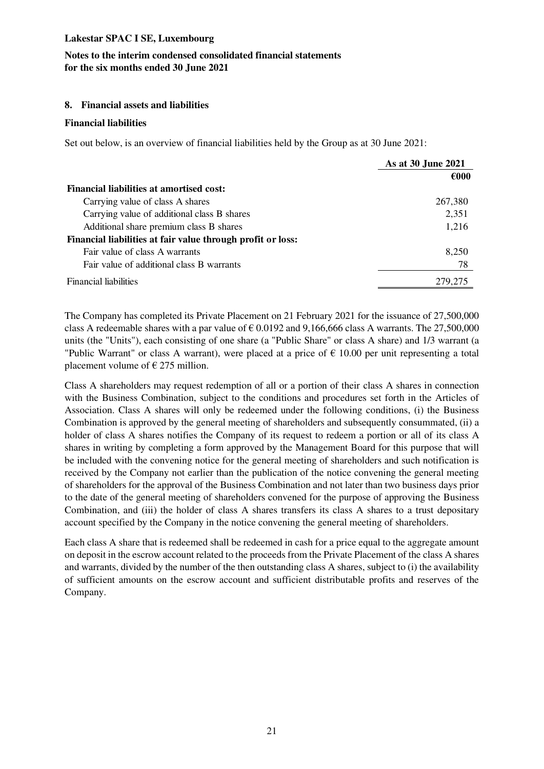## **Notes to the interim condensed consolidated financial statements for the six months ended 30 June 2021**

#### **8. Financial assets and liabilities**

#### **Financial liabilities**

Set out below, is an overview of financial liabilities held by the Group as at 30 June 2021:

|                                                             | As at 30 June 2021 |
|-------------------------------------------------------------|--------------------|
|                                                             | $\epsilon$ 000     |
| <b>Financial liabilities at amortised cost:</b>             |                    |
| Carrying value of class A shares                            | 267,380            |
| Carrying value of additional class B shares                 | 2,351              |
| Additional share premium class B shares                     | 1,216              |
| Financial liabilities at fair value through profit or loss: |                    |
| Fair value of class A warrants                              | 8,250              |
| Fair value of additional class B warrants                   | 78                 |
| <b>Financial liabilities</b>                                | 279,275            |

The Company has completed its Private Placement on 21 February 2021 for the issuance of 27,500,000 class A redeemable shares with a par value of  $\epsilon$  0.0192 and 9,166,666 class A warrants. The 27,500,000 units (the "Units"), each consisting of one share (a "Public Share" or class A share) and 1/3 warrant (a "Public Warrant" or class A warrant), were placed at a price of  $\epsilon$  10.00 per unit representing a total placement volume of  $\epsilon$  275 million.

Class A shareholders may request redemption of all or a portion of their class A shares in connection with the Business Combination, subject to the conditions and procedures set forth in the Articles of Association. Class A shares will only be redeemed under the following conditions, (i) the Business Combination is approved by the general meeting of shareholders and subsequently consummated, (ii) a holder of class A shares notifies the Company of its request to redeem a portion or all of its class A shares in writing by completing a form approved by the Management Board for this purpose that will be included with the convening notice for the general meeting of shareholders and such notification is received by the Company not earlier than the publication of the notice convening the general meeting of shareholders for the approval of the Business Combination and not later than two business days prior to the date of the general meeting of shareholders convened for the purpose of approving the Business Combination, and (iii) the holder of class A shares transfers its class A shares to a trust depositary account specified by the Company in the notice convening the general meeting of shareholders.

Each class A share that is redeemed shall be redeemed in cash for a price equal to the aggregate amount on deposit in the escrow account related to the proceeds from the Private Placement of the class A shares and warrants, divided by the number of the then outstanding class A shares, subject to (i) the availability of sufficient amounts on the escrow account and sufficient distributable profits and reserves of the Company.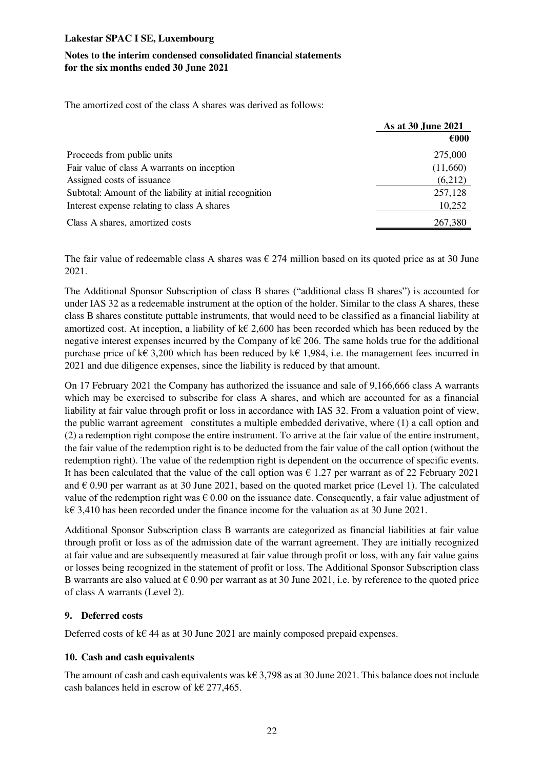## **Notes to the interim condensed consolidated financial statements for the six months ended 30 June 2021**

The amortized cost of the class A shares was derived as follows:

|                                                          | As at 30 June 2021 |  |
|----------------------------------------------------------|--------------------|--|
|                                                          | $\epsilon$ 000     |  |
| Proceeds from public units                               | 275,000            |  |
| Fair value of class A warrants on inception              | (11,660)           |  |
| Assigned costs of issuance                               | (6,212)            |  |
| Subtotal: Amount of the liability at initial recognition | 257,128            |  |
| Interest expense relating to class A shares              | 10,252             |  |
| Class A shares, amortized costs                          | 267,380            |  |

The fair value of redeemable class A shares was  $\epsilon$  274 million based on its quoted price as at 30 June 2021.

The Additional Sponsor Subscription of class B shares ("additional class B shares") is accounted for under IAS 32 as a redeemable instrument at the option of the holder. Similar to the class A shares, these class B shares constitute puttable instruments, that would need to be classified as a financial liability at amortized cost. At inception, a liability of  $k \in 2,600$  has been recorded which has been reduced by the negative interest expenses incurred by the Company of  $k \in \{206\}$ . The same holds true for the additional purchase price of k€ 3,200 which has been reduced by k€ 1,984, i.e. the management fees incurred in 2021 and due diligence expenses, since the liability is reduced by that amount.

On 17 February 2021 the Company has authorized the issuance and sale of 9,166,666 class A warrants which may be exercised to subscribe for class A shares, and which are accounted for as a financial liability at fair value through profit or loss in accordance with IAS 32. From a valuation point of view, the public warrant agreement constitutes a multiple embedded derivative, where (1) a call option and (2) a redemption right compose the entire instrument. To arrive at the fair value of the entire instrument, the fair value of the redemption right is to be deducted from the fair value of the call option (without the redemption right). The value of the redemption right is dependent on the occurrence of specific events. It has been calculated that the value of the call option was  $\epsilon$  1.27 per warrant as of 22 February 2021 and  $\epsilon$  0.90 per warrant as at 30 June 2021, based on the quoted market price (Level 1). The calculated value of the redemption right was  $\epsilon$  0.00 on the issuance date. Consequently, a fair value adjustment of k€ 3,410 has been recorded under the finance income for the valuation as at 30 June 2021.

Additional Sponsor Subscription class B warrants are categorized as financial liabilities at fair value through profit or loss as of the admission date of the warrant agreement. They are initially recognized at fair value and are subsequently measured at fair value through profit or loss, with any fair value gains or losses being recognized in the statement of profit or loss. The Additional Sponsor Subscription class B warrants are also valued at  $\epsilon$  0.90 per warrant as at 30 June 2021, i.e. by reference to the quoted price of class A warrants (Level 2).

## **9. Deferred costs**

Deferred costs of k€ 44 as at 30 June 2021 are mainly composed prepaid expenses.

## **10. Cash and cash equivalents**

The amount of cash and cash equivalents was k€ 3,798 as at 30 June 2021. This balance does not include cash balances held in escrow of  $k \in 277,465$ .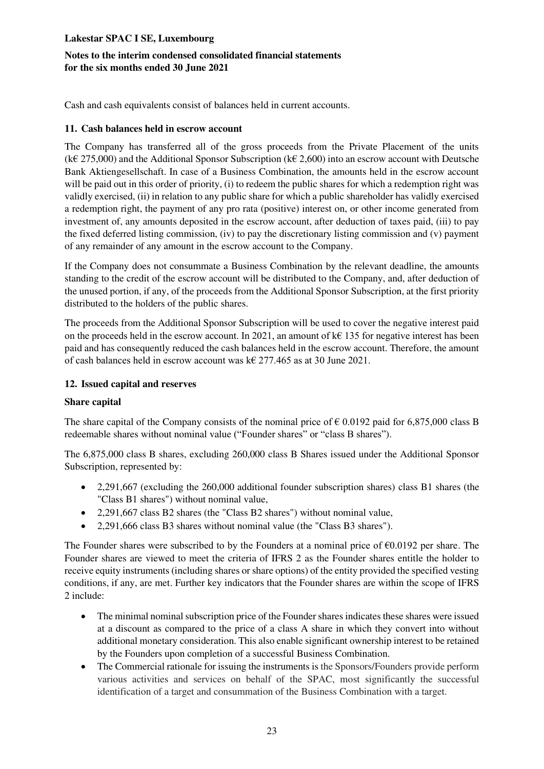## **Notes to the interim condensed consolidated financial statements for the six months ended 30 June 2021**

Cash and cash equivalents consist of balances held in current accounts.

#### **11. Cash balances held in escrow account**

The Company has transferred all of the gross proceeds from the Private Placement of the units (k€ 275,000) and the Additional Sponsor Subscription (k€ 2,600) into an escrow account with Deutsche Bank Aktiengesellschaft. In case of a Business Combination, the amounts held in the escrow account will be paid out in this order of priority, (i) to redeem the public shares for which a redemption right was validly exercised, (ii) in relation to any public share for which a public shareholder has validly exercised a redemption right, the payment of any pro rata (positive) interest on, or other income generated from investment of, any amounts deposited in the escrow account, after deduction of taxes paid, (iii) to pay the fixed deferred listing commission, (iv) to pay the discretionary listing commission and (v) payment of any remainder of any amount in the escrow account to the Company.

If the Company does not consummate a Business Combination by the relevant deadline, the amounts standing to the credit of the escrow account will be distributed to the Company, and, after deduction of the unused portion, if any, of the proceeds from the Additional Sponsor Subscription, at the first priority distributed to the holders of the public shares.

The proceeds from the Additional Sponsor Subscription will be used to cover the negative interest paid on the proceeds held in the escrow account. In 2021, an amount of k $\epsilon$  135 for negative interest has been paid and has consequently reduced the cash balances held in the escrow account. Therefore, the amount of cash balances held in escrow account was k€ 277.465 as at 30 June 2021.

## **12. Issued capital and reserves**

#### **Share capital**

The share capital of the Company consists of the nominal price of  $\epsilon$  0.0192 paid for 6,875,000 class B redeemable shares without nominal value ("Founder shares" or "class B shares").

The 6,875,000 class B shares, excluding 260,000 class B Shares issued under the Additional Sponsor Subscription, represented by:

- 2,291,667 (excluding the 260,000 additional founder subscription shares) class B1 shares (the "Class B1 shares") without nominal value,
- 2,291,667 class B2 shares (the "Class B2 shares") without nominal value,
- 2,291,666 class B3 shares without nominal value (the "Class B3 shares").

The Founder shares were subscribed to by the Founders at a nominal price of  $\epsilon 0.0192$  per share. The Founder shares are viewed to meet the criteria of IFRS 2 as the Founder shares entitle the holder to receive equity instruments (including shares or share options) of the entity provided the specified vesting conditions, if any, are met. Further key indicators that the Founder shares are within the scope of IFRS 2 include:

- The minimal nominal subscription price of the Founder shares indicates these shares were issued at a discount as compared to the price of a class A share in which they convert into without additional monetary consideration. This also enable significant ownership interest to be retained by the Founders upon completion of a successful Business Combination.
- The Commercial rationale for issuing the instruments is the Sponsors/Founders provide perform various activities and services on behalf of the SPAC, most significantly the successful identification of a target and consummation of the Business Combination with a target.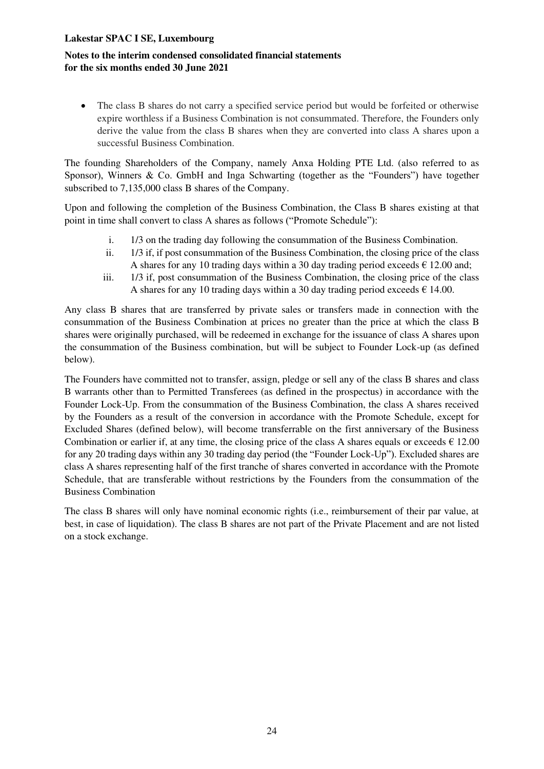### **Notes to the interim condensed consolidated financial statements for the six months ended 30 June 2021**

• The class B shares do not carry a specified service period but would be forfeited or otherwise expire worthless if a Business Combination is not consummated. Therefore, the Founders only derive the value from the class B shares when they are converted into class A shares upon a successful Business Combination.

The founding Shareholders of the Company, namely Anxa Holding PTE Ltd. (also referred to as Sponsor), Winners & Co. GmbH and Inga Schwarting (together as the "Founders") have together subscribed to 7,135,000 class B shares of the Company.

Upon and following the completion of the Business Combination, the Class B shares existing at that point in time shall convert to class A shares as follows ("Promote Schedule"):

- i. 1/3 on the trading day following the consummation of the Business Combination.
- ii. 1/3 if, if post consummation of the Business Combination, the closing price of the class A shares for any 10 trading days within a 30 day trading period exceeds  $\epsilon$  12.00 and;
- iii. 1/3 if, post consummation of the Business Combination, the closing price of the class A shares for any 10 trading days within a 30 day trading period exceeds  $\epsilon$  14.00.

Any class B shares that are transferred by private sales or transfers made in connection with the consummation of the Business Combination at prices no greater than the price at which the class B shares were originally purchased, will be redeemed in exchange for the issuance of class A shares upon the consummation of the Business combination, but will be subject to Founder Lock-up (as defined below).

The Founders have committed not to transfer, assign, pledge or sell any of the class B shares and class B warrants other than to Permitted Transferees (as defined in the prospectus) in accordance with the Founder Lock-Up. From the consummation of the Business Combination, the class A shares received by the Founders as a result of the conversion in accordance with the Promote Schedule, except for Excluded Shares (defined below), will become transferrable on the first anniversary of the Business Combination or earlier if, at any time, the closing price of the class A shares equals or exceeds  $\epsilon$  12.00 for any 20 trading days within any 30 trading day period (the "Founder Lock-Up"). Excluded shares are class A shares representing half of the first tranche of shares converted in accordance with the Promote Schedule, that are transferable without restrictions by the Founders from the consummation of the Business Combination

The class B shares will only have nominal economic rights (i.e., reimbursement of their par value, at best, in case of liquidation). The class B shares are not part of the Private Placement and are not listed on a stock exchange.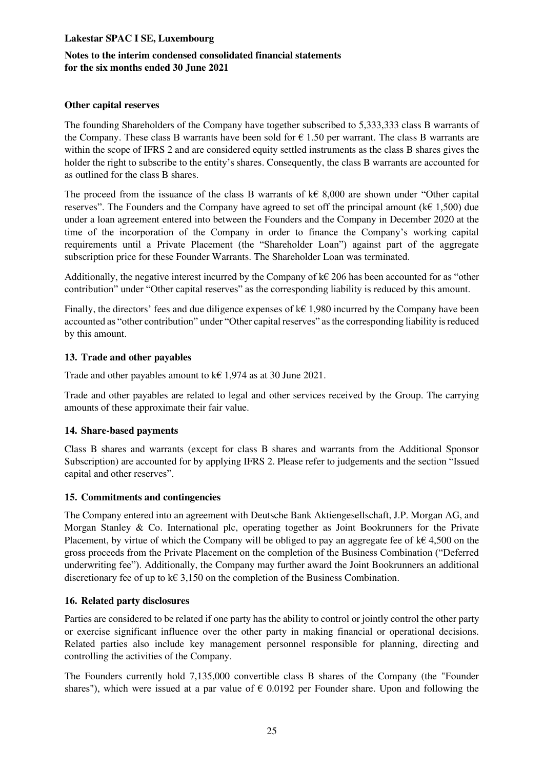## **Notes to the interim condensed consolidated financial statements for the six months ended 30 June 2021**

#### **Other capital reserves**

The founding Shareholders of the Company have together subscribed to 5,333,333 class B warrants of the Company. These class B warrants have been sold for  $\epsilon$  1.50 per warrant. The class B warrants are within the scope of IFRS 2 and are considered equity settled instruments as the class B shares gives the holder the right to subscribe to the entity's shares. Consequently, the class B warrants are accounted for as outlined for the class B shares.

The proceed from the issuance of the class B warrants of k€ 8,000 are shown under "Other capital reserves". The Founders and the Company have agreed to set off the principal amount ( $k \in 1,500$ ) due under a loan agreement entered into between the Founders and the Company in December 2020 at the time of the incorporation of the Company in order to finance the Company's working capital requirements until a Private Placement (the "Shareholder Loan") against part of the aggregate subscription price for these Founder Warrants. The Shareholder Loan was terminated.

Additionally, the negative interest incurred by the Company of  $k \in \{206\}$  has been accounted for as "other contribution" under "Other capital reserves" as the corresponding liability is reduced by this amount.

Finally, the directors' fees and due diligence expenses of  $k \in 1.980$  incurred by the Company have been accounted as "other contribution" under "Other capital reserves" as the corresponding liability is reduced by this amount.

#### **13. Trade and other payables**

Trade and other payables amount to  $k \in 1.974$  as at 30 June 2021.

Trade and other payables are related to legal and other services received by the Group. The carrying amounts of these approximate their fair value.

## **14. Share-based payments**

Class B shares and warrants (except for class B shares and warrants from the Additional Sponsor Subscription) are accounted for by applying IFRS 2. Please refer to judgements and the section "Issued capital and other reserves".

#### **15. Commitments and contingencies**

The Company entered into an agreement with Deutsche Bank Aktiengesellschaft, J.P. Morgan AG, and Morgan Stanley & Co. International plc, operating together as Joint Bookrunners for the Private Placement, by virtue of which the Company will be obliged to pay an aggregate fee of  $k \in 4,500$  on the gross proceeds from the Private Placement on the completion of the Business Combination ("Deferred underwriting fee"). Additionally, the Company may further award the Joint Bookrunners an additional discretionary fee of up to  $k \in \{3,150\}$  on the completion of the Business Combination.

## **16. Related party disclosures**

Parties are considered to be related if one party has the ability to control or jointly control the other party or exercise significant influence over the other party in making financial or operational decisions. Related parties also include key management personnel responsible for planning, directing and controlling the activities of the Company.

The Founders currently hold 7,135,000 convertible class B shares of the Company (the "Founder shares"), which were issued at a par value of  $\epsilon$  0.0192 per Founder share. Upon and following the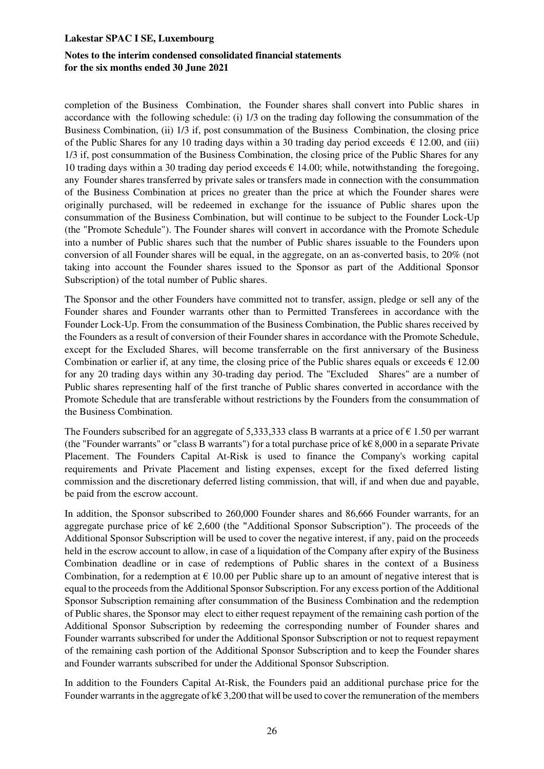#### **Notes to the interim condensed consolidated financial statements for the six months ended 30 June 2021**

completion of the Business Combination, the Founder shares shall convert into Public shares in accordance with the following schedule: (i) 1/3 on the trading day following the consummation of the Business Combination, (ii) 1/3 if, post consummation of the Business Combination, the closing price of the Public Shares for any 10 trading days within a 30 trading day period exceeds  $\epsilon$  12.00, and (iii) 1/3 if, post consummation of the Business Combination, the closing price of the Public Shares for any 10 trading days within a 30 trading day period exceeds  $\epsilon$  14.00; while, notwithstanding the foregoing, any Founder shares transferred by private sales or transfers made in connection with the consummation of the Business Combination at prices no greater than the price at which the Founder shares were originally purchased, will be redeemed in exchange for the issuance of Public shares upon the consummation of the Business Combination, but will continue to be subject to the Founder Lock-Up (the "Promote Schedule"). The Founder shares will convert in accordance with the Promote Schedule into a number of Public shares such that the number of Public shares issuable to the Founders upon conversion of all Founder shares will be equal, in the aggregate, on an as-converted basis, to 20% (not taking into account the Founder shares issued to the Sponsor as part of the Additional Sponsor Subscription) of the total number of Public shares.

The Sponsor and the other Founders have committed not to transfer, assign, pledge or sell any of the Founder shares and Founder warrants other than to Permitted Transferees in accordance with the Founder Lock-Up. From the consummation of the Business Combination, the Public shares received by the Founders as a result of conversion of their Founder shares in accordance with the Promote Schedule, except for the Excluded Shares, will become transferrable on the first anniversary of the Business Combination or earlier if, at any time, the closing price of the Public shares equals or exceeds  $\epsilon$  12.00 for any 20 trading days within any 30-trading day period. The "Excluded Shares" are a number of Public shares representing half of the first tranche of Public shares converted in accordance with the Promote Schedule that are transferable without restrictions by the Founders from the consummation of the Business Combination.

The Founders subscribed for an aggregate of 5,333,333 class B warrants at a price of  $\epsilon$  1.50 per warrant (the "Founder warrants" or "class B warrants") for a total purchase price of  $k \in 8,000$  in a separate Private Placement. The Founders Capital At-Risk is used to finance the Company's working capital requirements and Private Placement and listing expenses, except for the fixed deferred listing commission and the discretionary deferred listing commission, that will, if and when due and payable, be paid from the escrow account.

In addition, the Sponsor subscribed to 260,000 Founder shares and 86,666 Founder warrants, for an aggregate purchase price of k $\epsilon$  2,600 (the "Additional Sponsor Subscription"). The proceeds of the Additional Sponsor Subscription will be used to cover the negative interest, if any, paid on the proceeds held in the escrow account to allow, in case of a liquidation of the Company after expiry of the Business Combination deadline or in case of redemptions of Public shares in the context of a Business Combination, for a redemption at  $\epsilon$  10.00 per Public share up to an amount of negative interest that is equal to the proceeds from the Additional Sponsor Subscription. For any excess portion of the Additional Sponsor Subscription remaining after consummation of the Business Combination and the redemption of Public shares, the Sponsor may elect to either request repayment of the remaining cash portion of the Additional Sponsor Subscription by redeeming the corresponding number of Founder shares and Founder warrants subscribed for under the Additional Sponsor Subscription or not to request repayment of the remaining cash portion of the Additional Sponsor Subscription and to keep the Founder shares and Founder warrants subscribed for under the Additional Sponsor Subscription.

In addition to the Founders Capital At-Risk, the Founders paid an additional purchase price for the Founder warrants in the aggregate of  $k \in 3,200$  that will be used to cover the remuneration of the members